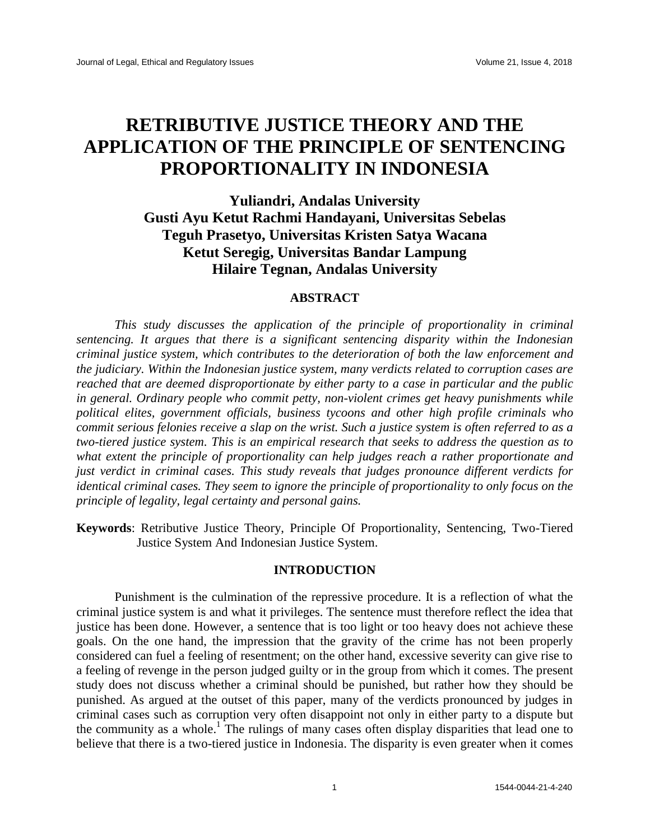# **RETRIBUTIVE JUSTICE THEORY AND THE APPLICATION OF THE PRINCIPLE OF SENTENCING PROPORTIONALITY IN INDONESIA**

**Yuliandri, Andalas University Gusti Ayu Ketut Rachmi Handayani, Universitas Sebelas Teguh Prasetyo, Universitas Kristen Satya Wacana Ketut Seregig, Universitas Bandar Lampung Hilaire Tegnan, Andalas University**

# **ABSTRACT**

*This study discusses the application of the principle of proportionality in criminal sentencing. It argues that there is a significant sentencing disparity within the Indonesian criminal justice system, which contributes to the deterioration of both the law enforcement and the judiciary. Within the Indonesian justice system, many verdicts related to corruption cases are reached that are deemed disproportionate by either party to a case in particular and the public in general. Ordinary people who commit petty, non-violent crimes get heavy punishments while political elites, government officials, business tycoons and other high profile criminals who commit serious felonies receive a slap on the wrist. Such a justice system is often referred to as a two-tiered justice system. This is an empirical research that seeks to address the question as to what extent the principle of proportionality can help judges reach a rather proportionate and just verdict in criminal cases. This study reveals that judges pronounce different verdicts for identical criminal cases. They seem to ignore the principle of proportionality to only focus on the principle of legality, legal certainty and personal gains.*

**Keywords**: Retributive Justice Theory, Principle Of Proportionality, Sentencing, Two-Tiered Justice System And Indonesian Justice System.

## **INTRODUCTION**

Punishment is the culmination of the repressive procedure. It is a reflection of what the criminal justice system is and what it privileges. The sentence must therefore reflect the idea that justice has been done. However, a sentence that is too light or too heavy does not achieve these goals. On the one hand, the impression that the gravity of the crime has not been properly considered can fuel a feeling of resentment; on the other hand, excessive severity can give rise to a feeling of revenge in the person judged guilty or in the group from which it comes. The present study does not discuss whether a criminal should be punished, but rather how they should be punished. As argued at the outset of this paper, many of the verdicts pronounced by judges in criminal cases such as corruption very often disappoint not only in either party to a dispute but the community as a whole.<sup>1</sup> The rulings of many cases often display disparities that lead one to believe that there is a two-tiered justice in Indonesia. The disparity is even greater when it comes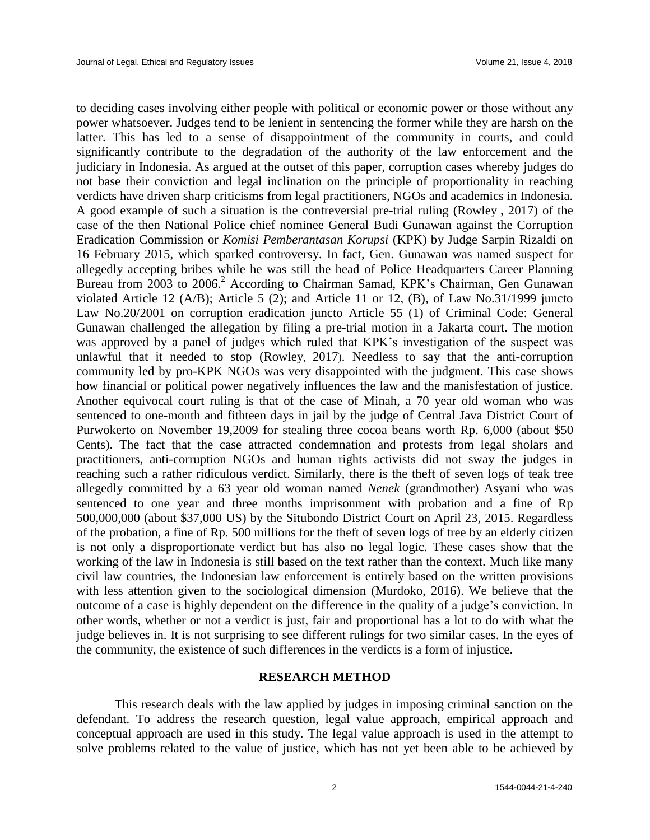to deciding cases involving either people with political or economic power or those without any power whatsoever. Judges tend to be lenient in sentencing the former while they are harsh on the latter. This has led to a sense of disappointment of the community in courts, and could significantly contribute to the degradation of the authority of the law enforcement and the judiciary in Indonesia. As argued at the outset of this paper, corruption cases whereby judges do not base their conviction and legal inclination on the principle of proportionality in reaching verdicts have driven sharp criticisms from legal practitioners, NGOs and academics in Indonesia. A good example of such a situation is the contreversial pre-trial ruling (Rowley , 2017) of the case of the then National Police chief nominee General Budi Gunawan against the Corruption Eradication Commission or *Komisi Pemberantasan Korupsi* (KPK) by Judge Sarpin Rizaldi on 16 February 2015, which sparked controversy. In fact, Gen. Gunawan was named suspect for allegedly accepting bribes while he was still the head of Police Headquarters Career Planning Bureau from 2003 to 2006. <sup>2</sup> According to Chairman Samad, KPK's Chairman, Gen Gunawan violated Article 12 (A/B); Article 5 (2); and Article 11 or 12, (B), of Law No.31/1999 juncto Law No.20/2001 on corruption eradication juncto Article 55 (1) of Criminal Code: General Gunawan challenged the allegation by filing a pre-trial motion in a Jakarta court. The motion was approved by a panel of judges which ruled that KPK's investigation of the suspect was unlawful that it needed to stop (Rowley, 2017). Needless to say that the anti-corruption community led by pro-KPK NGOs was very disappointed with the judgment. This case shows how financial or political power negatively influences the law and the manisfestation of justice. Another equivocal court ruling is that of the case of Minah, a 70 year old woman who was sentenced to one-month and fithteen days in jail by the judge of Central Java District Court of Purwokerto on November 19,2009 for stealing three cocoa beans worth Rp. 6,000 (about \$50 Cents). The fact that the case attracted condemnation and protests from legal sholars and practitioners, anti-corruption NGOs and human rights activists did not sway the judges in reaching such a rather ridiculous verdict. Similarly, there is the theft of seven logs of teak tree allegedly committed by a 63 year old woman named *Nenek* (grandmother) Asyani who was sentenced to one year and three months imprisonment with probation and a fine of Rp 500,000,000 (about \$37,000 US) by the Situbondo District Court on April 23, 2015. Regardless of the probation, a fine of Rp. 500 millions for the theft of seven logs of tree by an elderly citizen is not only a disproportionate verdict but has also no legal logic. These cases show that the working of the law in Indonesia is still based on the text rather than the context. Much like many civil law countries, the Indonesian law enforcement is entirely based on the written provisions with less attention given to the sociological dimension (Murdoko, 2016). We believe that the outcome of a case is highly dependent on the difference in the quality of a judge's conviction. In other words, whether or not a verdict is just, fair and proportional has a lot to do with what the judge believes in. It is not surprising to see different rulings for two similar cases. In the eyes of the community, the existence of such differences in the verdicts is a form of injustice.

#### **RESEARCH METHOD**

This research deals with the law applied by judges in imposing criminal sanction on the defendant. To address the research question, legal value approach, empirical approach and conceptual approach are used in this study. The legal value approach is used in the attempt to solve problems related to the value of justice, which has not yet been able to be achieved by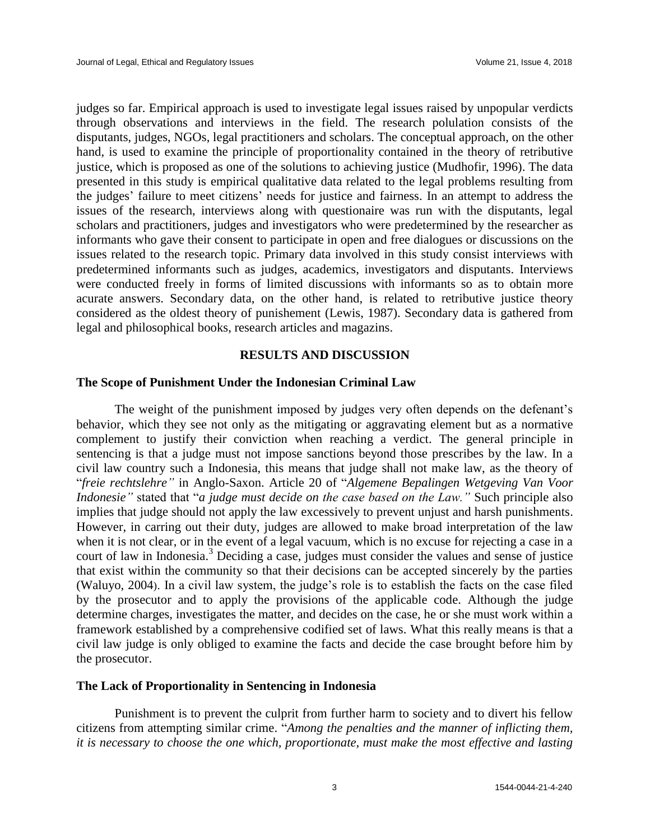judges so far. Empirical approach is used to investigate legal issues raised by unpopular verdicts through observations and interviews in the field. The research polulation consists of the disputants, judges, NGOs, legal practitioners and scholars. The conceptual approach, on the other hand, is used to examine the principle of proportionality contained in the theory of retributive justice, which is proposed as one of the solutions to achieving justice (Mudhofir, 1996). The data presented in this study is empirical qualitative data related to the legal problems resulting from the judges' failure to meet citizens' needs for justice and fairness. In an attempt to address the issues of the research, interviews along with questionaire was run with the disputants, legal scholars and practitioners, judges and investigators who were predetermined by the researcher as informants who gave their consent to participate in open and free dialogues or discussions on the issues related to the research topic. Primary data involved in this study consist interviews with predetermined informants such as judges, academics, investigators and disputants. Interviews were conducted freely in forms of limited discussions with informants so as to obtain more acurate answers. Secondary data, on the other hand, is related to retributive justice theory considered as the oldest theory of punishement (Lewis, 1987). Secondary data is gathered from legal and philosophical books, research articles and magazins.

# **RESULTS AND DISCUSSION**

## **The Scope of Punishment Under the Indonesian Criminal Law**

The weight of the punishment imposed by judges very often depends on the defenant's behavior, which they see not only as the mitigating or aggravating element but as a normative complement to justify their conviction when reaching a verdict. The general principle in sentencing is that a judge must not impose sanctions beyond those prescribes by the law. In a civil law country such a Indonesia, this means that judge shall not make law, as the theory of "*freie rechtslehre"* in Anglo-Saxon. Article 20 of "*Algemene Bepalingen Wetgeving Van Voor Indonesie"* stated that "*a judge must decide on the case based on the Law."* Such principle also implies that judge should not apply the law excessively to prevent unjust and harsh punishments. However, in carring out their duty, judges are allowed to make broad interpretation of the law when it is not clear, or in the event of a legal vacuum, which is no excuse for rejecting a case in a court of law in Indonesia.<sup>3</sup> Deciding a case, judges must consider the values and sense of justice that exist within the community so that their decisions can be accepted sincerely by the parties (Waluyo, 2004). In a civil law system, the judge's role is to establish the facts on the case filed by the prosecutor and to apply the provisions of the applicable code. Although the judge determine charges, investigates the matter, and decides on the case, he or she must work within a framework established by a comprehensive codified set of laws. What this really means is that a civil law judge is only obliged to examine the facts and decide the case brought before him by the prosecutor.

## **The Lack of Proportionality in Sentencing in Indonesia**

Punishment is to prevent the culprit from further harm to society and to divert his fellow citizens from attempting similar crime. "*Among the penalties and the manner of inflicting them, it is necessary to choose the one which, proportionate, must make the most effective and lasting*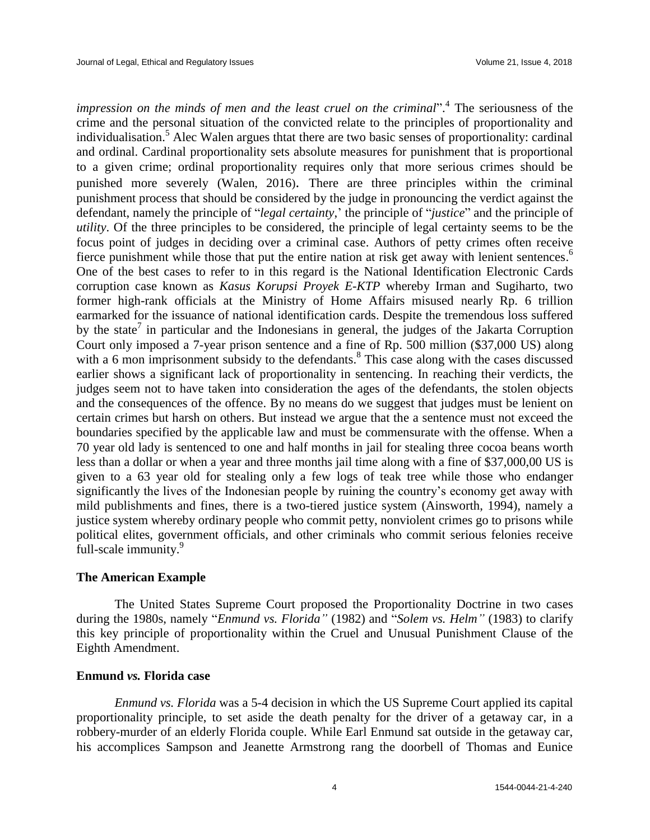*impression on the minds of men and the least cruel on the criminal*". 4 The seriousness of the crime and the personal situation of the convicted relate to the principles of proportionality and individualisation.<sup>5</sup> Alec Walen argues thtat there are two basic senses of proportionality: cardinal and ordinal. Cardinal proportionality sets absolute measures for punishment that is proportional to a given crime; ordinal proportionality requires only that more serious crimes should be punished more severely (Walen, 2016). There are three principles within the criminal punishment process that should be considered by the judge in pronouncing the verdict against the defendant, namely the principle of "*legal certainty*,' the principle of "*justice*" and the principle of *utility*. Of the three principles to be considered, the principle of legal certainty seems to be the focus point of judges in deciding over a criminal case. Authors of petty crimes often receive fierce punishment while those that put the entire nation at risk get away with lenient sentences.<sup>6</sup> One of the best cases to refer to in this regard is the National Identification Electronic Cards corruption case known as *Kasus Korupsi Proyek E-KTP* whereby Irman and Sugiharto, two former high-rank officials at the Ministry of Home Affairs misused nearly Rp. 6 trillion earmarked for the issuance of national identification cards. Despite the tremendous loss suffered by the state<sup>7</sup> in particular and the Indonesians in general, the judges of the Jakarta Corruption Court only imposed a 7-year prison sentence and a fine of Rp. 500 million (\$37,000 US) along with a 6 mon imprisonment subsidy to the defendants.<sup>8</sup> This case along with the cases discussed earlier shows a significant lack of proportionality in sentencing. In reaching their verdicts, the judges seem not to have taken into consideration the ages of the defendants, the stolen objects and the consequences of the offence. By no means do we suggest that judges must be lenient on certain crimes but harsh on others. But instead we argue that the a sentence must not exceed the boundaries specified by the applicable law and must be commensurate with the offense. When a 70 year old lady is sentenced to one and half months in jail for stealing three cocoa beans worth less than a dollar or when a year and three months jail time along with a fine of \$37,000,00 US is given to a 63 year old for stealing only a few logs of teak tree while those who endanger significantly the lives of the Indonesian people by ruining the country's economy get away with mild publishments and fines, there is a two-tiered justice system (Ainsworth, 1994), namely a justice system whereby ordinary people who commit petty, nonviolent crimes go to prisons while political elites, government officials, and other criminals who commit serious felonies receive full-scale immunity.<sup>9</sup>

# **The American Example**

The United States Supreme Court proposed the Proportionality Doctrine in two cases during the 1980s, namely "*Enmund vs. Florida"* (1982) and "*Solem vs. Helm"* (1983) to clarify this key principle of proportionality within the Cruel and Unusual Punishment Clause of the Eighth Amendment.

# **Enmund** *vs.* **Florida case**

*Enmund vs. Florida* was a 5-4 decision in which the US Supreme Court applied its capital proportionality principle, to set aside the death penalty for the driver of a getaway car, in a robbery-murder of an elderly Florida couple. While Earl Enmund sat outside in the getaway car, his accomplices Sampson and Jeanette Armstrong rang the doorbell of Thomas and Eunice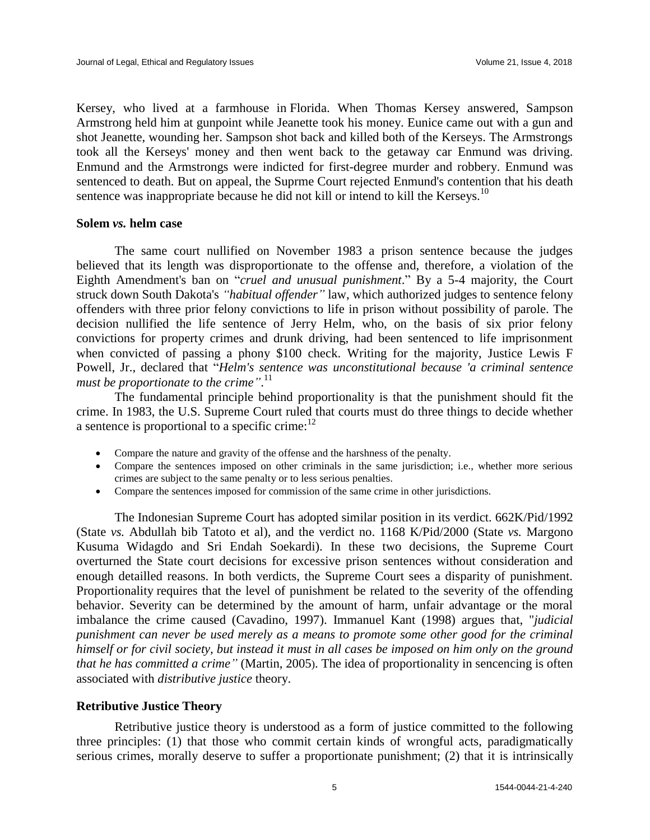Kersey, who lived at a farmhouse in Florida. When Thomas Kersey answered, Sampson Armstrong held him at gunpoint while Jeanette took his money. Eunice came out with a gun and shot Jeanette, wounding her. Sampson shot back and killed both of the Kerseys. The Armstrongs took all the Kerseys' money and then went back to the getaway car Enmund was driving. Enmund and the Armstrongs were indicted for first-degree murder and robbery. Enmund was sentenced to death. But on appeal, the Suprme Court rejected Enmund's contention that his death sentence was inappropriate because he did not kill or intend to kill the Kerseys.<sup>10</sup>

## **Solem** *vs.* **helm case**

The same court nullified on November 1983 a prison sentence because the judges believed that its length was disproportionate to the offense and, therefore, a violation of the Eighth Amendment's ban on "*cruel and unusual punishment*." By a 5-4 majority, the Court struck down South Dakota's *"habitual offender"* law, which authorized judges to sentence felony offenders with three prior felony convictions to life in prison without possibility of parole. The decision nullified the life sentence of Jerry Helm, who, on the basis of six prior felony convictions for property crimes and drunk driving, had been sentenced to life imprisonment when convicted of passing a phony \$100 check. Writing for the majority, Justice Lewis F Powell, Jr., declared that "*Helm's sentence was unconstitutional because 'a criminal sentence must be proportionate to the crime"*. 11

The fundamental principle behind proportionality is that the punishment should fit the crime. In 1983, the U.S. Supreme Court ruled that courts must do three things to decide whether a sentence is proportional to a specific crime: $12$ 

- Compare the nature and gravity of the offense and the harshness of the penalty.
- Compare the sentences imposed on other criminals in the same jurisdiction; i.e., whether more serious crimes are subject to the same penalty or to less serious penalties.
- Compare the sentences imposed for commission of the same crime in other jurisdictions.

The Indonesian Supreme Court has adopted similar position in its verdict. 662K/Pid/1992 (State *vs.* Abdullah bib Tatoto et al), and the verdict no. 1168 K/Pid/2000 (State *vs.* Margono Kusuma Widagdo and Sri Endah Soekardi). In these two decisions, the Supreme Court overturned the State court decisions for excessive prison sentences without consideration and enough detailled reasons. In both verdicts, the Supreme Court sees a disparity of punishment. Proportionality requires that the level of punishment be related to the severity of the offending behavior. Severity can be determined by the amount of harm, unfair advantage or the moral imbalance the crime caused (Cavadino, 1997). Immanuel Kant (1998) argues that, "*judicial punishment can never be used merely as a means to promote some other good for the criminal himself or for civil society, but instead it must in all cases be imposed on him only on the ground that he has committed a crime"* (Martin, 2005). The idea of proportionality in sencencing is often associated with *distributive justice* theory.

# **Retributive Justice Theory**

Retributive justice theory is understood as a form of justice committed to the following three principles: (1) that those who commit certain kinds of wrongful acts, paradigmatically serious crimes, morally deserve to suffer a proportionate punishment; (2) that it is intrinsically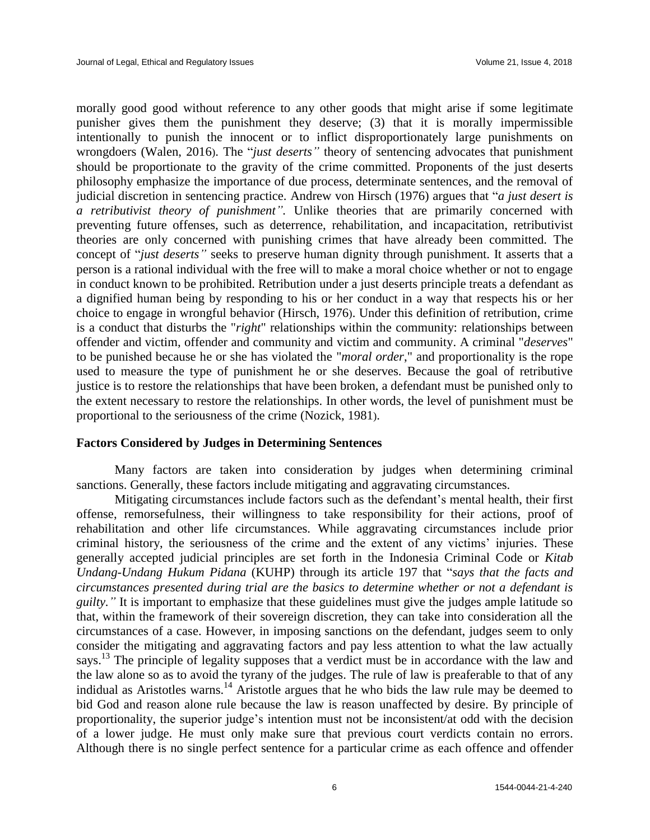morally good good without reference to any other goods that might arise if some legitimate punisher gives them the punishment they deserve; (3) that it is morally impermissible intentionally to punish the innocent or to inflict disproportionately large punishments on wrongdoers (Walen, 2016). The "*just deserts"* theory of sentencing advocates that punishment should be proportionate to the gravity of the crime committed. Proponents of the just deserts philosophy emphasize the importance of due process, determinate sentences, and the removal of judicial discretion in sentencing practice. Andrew von Hirsch (1976) argues that "*a just desert is a retributivist theory of punishment".* Unlike theories that are primarily concerned with preventing future offenses, such as deterrence, rehabilitation, and incapacitation, retributivist theories are only concerned with punishing crimes that have already been committed. The concept of "*just deserts"* seeks to preserve human dignity through punishment. It asserts that a person is a rational individual with the free will to make a moral choice whether or not to engage in conduct known to be prohibited. Retribution under a just deserts principle treats a defendant as a dignified human being by responding to his or her conduct in a way that respects his or her choice to engage in wrongful behavior (Hirsch, 1976). Under this definition of retribution, crime is a conduct that disturbs the "*right*" relationships within the community: relationships between offender and victim, offender and community and victim and community. A criminal "*deserves*" to be punished because he or she has violated the "*moral order*," and proportionality is the rope used to measure the type of punishment he or she deserves. Because the goal of retributive justice is to restore the relationships that have been broken, a defendant must be punished only to the extent necessary to restore the relationships. In other words, the level of punishment must be proportional to the seriousness of the crime (Nozick, 1981).

# **Factors Considered by Judges in Determining Sentences**

Many factors are taken into consideration by judges when determining criminal sanctions. Generally, these factors include mitigating and aggravating circumstances.

Mitigating circumstances include factors such as the defendant's mental health, their first offense, remorsefulness, their willingness to take responsibility for their actions, proof of rehabilitation and other life circumstances. While aggravating circumstances include prior criminal history, the seriousness of the crime and the extent of any victims' injuries. These generally accepted judicial principles are set forth in the Indonesia Criminal Code or *Kitab Undang-Undang Hukum Pidana* (KUHP) through its article 197 that "*says that the facts and circumstances presented during trial are the basics to determine whether or not a defendant is guilty.*" It is important to emphasize that these guidelines must give the judges ample latitude so that, within the framework of their sovereign discretion, they can take into consideration all the circumstances of a case. However, in imposing sanctions on the defendant, judges seem to only consider the mitigating and aggravating factors and pay less attention to what the law actually says.<sup>13</sup> The principle of legality supposes that a verdict must be in accordance with the law and the law alone so as to avoid the tyrany of the judges. The rule of law is preaferable to that of any indidual as Aristotles warns.<sup>14</sup> Aristotle argues that he who bids the law rule may be deemed to bid God and reason alone rule because the law is reason unaffected by desire. By principle of proportionality, the superior judge's intention must not be inconsistent/at odd with the decision of a lower judge. He must only make sure that previous court verdicts contain no errors. Although there is no single perfect sentence for a particular crime as each offence and offender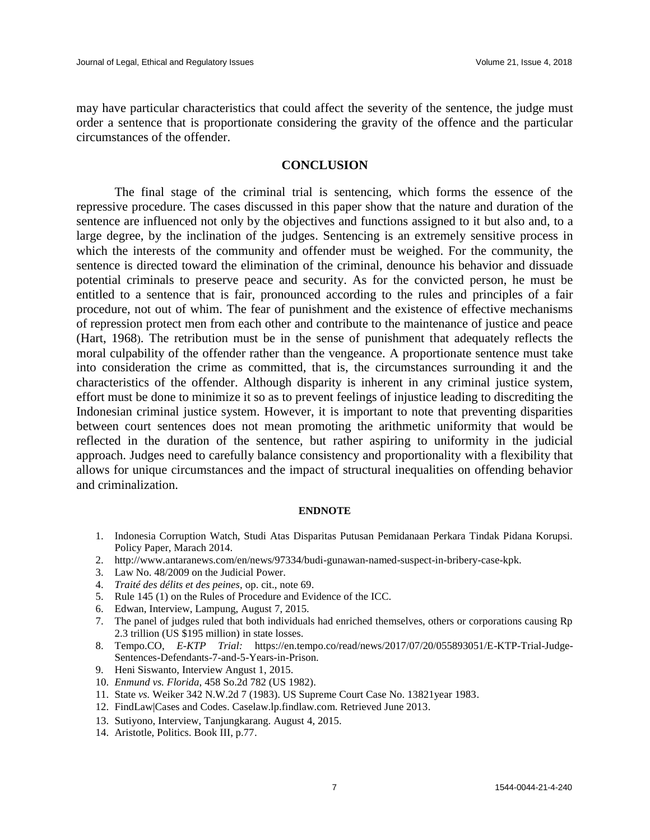may have particular characteristics that could affect the severity of the sentence, the judge must order a sentence that is proportionate considering the gravity of the offence and the particular circumstances of the offender.

## **CONCLUSION**

The final stage of the criminal trial is sentencing, which forms the essence of the repressive procedure. The cases discussed in this paper show that the nature and duration of the sentence are influenced not only by the objectives and functions assigned to it but also and, to a large degree, by the inclination of the judges. Sentencing is an extremely sensitive process in which the interests of the community and offender must be weighed. For the community, the sentence is directed toward the elimination of the criminal, denounce his behavior and dissuade potential criminals to preserve peace and security. As for the convicted person, he must be entitled to a sentence that is fair, pronounced according to the rules and principles of a fair procedure, not out of whim. The fear of punishment and the existence of effective mechanisms of repression protect men from each other and contribute to the maintenance of justice and peace (Hart, 1968). The retribution must be in the sense of punishment that adequately reflects the moral culpability of the offender rather than the vengeance. A proportionate sentence must take into consideration the crime as committed, that is, the circumstances surrounding it and the characteristics of the offender. Although disparity is inherent in any criminal justice system, effort must be done to minimize it so as to prevent feelings of injustice leading to discrediting the Indonesian criminal justice system. However, it is important to note that preventing disparities between court sentences does not mean promoting the arithmetic uniformity that would be reflected in the duration of the sentence, but rather aspiring to uniformity in the judicial approach. Judges need to carefully balance consistency and proportionality with a flexibility that allows for unique circumstances and the impact of structural inequalities on offending behavior and criminalization.

#### **ENDNOTE**

- 1. Indonesia Corruption Watch, Studi Atas Disparitas Putusan Pemidanaan Perkara Tindak Pidana Korupsi. Policy Paper, Marach 2014.
- 2. http://www.antaranews.com/en/news/97334/budi-gunawan-named-suspect-in-bribery-case-kpk.
- 3. Law No. 48/2009 on the Judicial Power.
- 4. *Traité des délits et des peines*, op. cit., note 69.
- 5. Rule 145 (1) on the Rules of Procedure and Evidence of the ICC.
- 6. Edwan, Interview, Lampung, August 7, 2015.
- 7. The panel of judges ruled that both individuals had enriched themselves, others or corporations causing Rp 2.3 trillion (US \$195 million) in state losses.
- 8. Tempo.CO, *E-KTP Trial:* https://en.tempo.co/read/news/2017/07/20/055893051/E-KTP-Trial-Judge-Sentences-Defendants-7-and-5-Years-in-Prison.
- 9. Heni Siswanto, Interview Angust 1, 2015.
- 10. *Enmund vs. Florida*, 458 So.2d 782 (US 1982).
- 11. State *vs.* Weiker 342 N.W.2d 7 (1983). US Supreme Court Case No. 13821year 1983.
- 12. FindLaw|Cases and Codes. Caselaw.lp.findlaw.com. Retrieved June 2013.
- 13. Sutiyono, Interview, Tanjungkarang. August 4, 2015.
- 14. Aristotle, Politics. Book III, p.77.